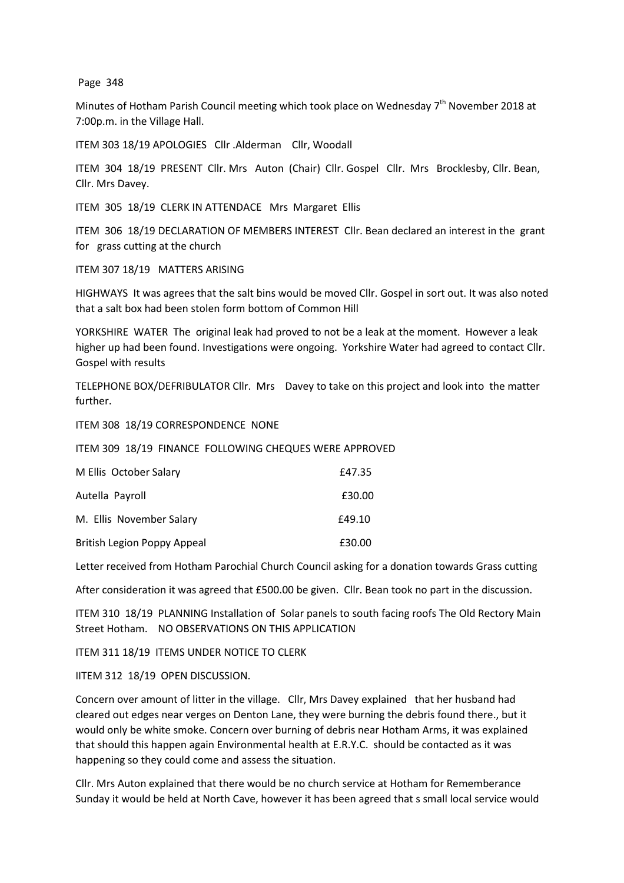Page 348

Minutes of Hotham Parish Council meeting which took place on Wednesday 7<sup>th</sup> November 2018 at 7:00p.m. in the Village Hall.

ITEM 303 18/19 APOLOGIES Cllr .Alderman Cllr, Woodall

ITEM 304 18/19 PRESENT Cllr. Mrs Auton (Chair) Cllr. Gospel Cllr. Mrs Brocklesby, Cllr. Bean, Cllr. Mrs Davey.

ITEM 305 18/19 CLERK IN ATTENDACE Mrs Margaret Ellis

ITEM 306 18/19 DECLARATION OF MEMBERS INTEREST Cllr. Bean declared an interest in the grant for grass cutting at the church

ITEM 307 18/19 MATTERS ARISING

HIGHWAYS It was agrees that the salt bins would be moved Cllr. Gospel in sort out. It was also noted that a salt box had been stolen form bottom of Common Hill

YORKSHIRE WATER The original leak had proved to not be a leak at the moment. However a leak higher up had been found. Investigations were ongoing. Yorkshire Water had agreed to contact Cllr. Gospel with results

TELEPHONE BOX/DEFRIBULATOR Cllr. Mrs Davey to take on this project and look into the matter further.

ITEM 308 18/19 CORRESPONDENCE NONE

ITEM 309 18/19 FINANCE FOLLOWING CHEQUES WERE APPROVED

| M Ellis October Salary             | £47.35 |
|------------------------------------|--------|
| Autella Payroll                    | £30.00 |
| M. Ellis November Salary           | £49.10 |
| <b>British Legion Poppy Appeal</b> | £30.00 |

Letter received from Hotham Parochial Church Council asking for a donation towards Grass cutting

After consideration it was agreed that £500.00 be given. Cllr. Bean took no part in the discussion.

ITEM 310 18/19 PLANNING Installation of Solar panels to south facing roofs The Old Rectory Main Street Hotham. NO OBSERVATIONS ON THIS APPLICATION

ITEM 311 18/19 ITEMS UNDER NOTICE TO CLERK

IITEM 312 18/19 OPEN DISCUSSION.

Concern over amount of litter in the village. Cllr, Mrs Davey explained that her husband had cleared out edges near verges on Denton Lane, they were burning the debris found there., but it would only be white smoke. Concern over burning of debris near Hotham Arms, it was explained that should this happen again Environmental health at E.R.Y.C. should be contacted as it was happening so they could come and assess the situation.

Cllr. Mrs Auton explained that there would be no church service at Hotham for Rememberance Sunday it would be held at North Cave, however it has been agreed that s small local service would